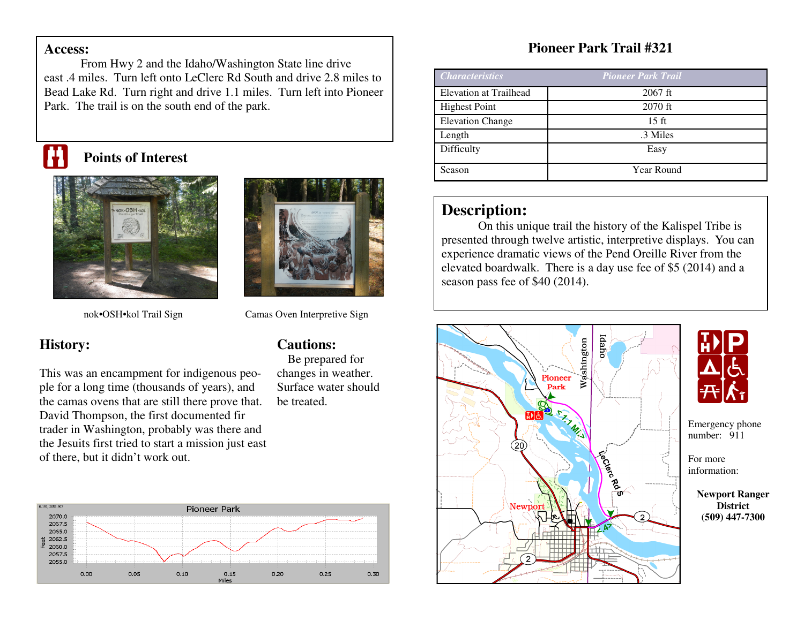#### **Access:**

 From Hwy 2 and the Idaho/Washington State line drive east .4 miles. Turn left onto LeClerc Rd South and drive 2.8 miles to Bead Lake Rd. Turn right and drive 1.1 miles. Turn left into Pioneer Park. The trail is on the south end of the park.

# **Points of Interest**





**Cautions:** 

be treated.

 Be prepared for changes in weather. Surface water should

nok•OSH•kol Trail Sign

#### Camas Oven Interpretive Sign

### **History:**

This was an encampment for indigenous people for a long time (thousands of years), and the camas ovens that are still there prove that. David Thompson, the first documented fir trader in Washington, probably was there and the Jesuits first tried to start a mission just east of there, but it didn't work out.



## **Pioneer Park Trail #321**

| <b>Characteristics</b>        | <b>Pioneer Park Trail</b> |
|-------------------------------|---------------------------|
| <b>Elevation at Trailhead</b> | $2067$ ft                 |
| <b>Highest Point</b>          | $2070$ ft                 |
| <b>Elevation Change</b>       | $15 \text{ ft}$           |
| Length                        | .3 Miles                  |
| Difficulty                    | Easy                      |
| Season                        | Year Round                |

### **Description:**

 On this unique trail the history of the Kalispel Tribe is presented through twelve artistic, interpretive displays. You can experience dramatic views of the Pend Oreille River from the elevated boardwalk. There is a day use fee of \$5 (2014) and a season pass fee of \$40 (2014).





 number: 911 Emergency phone

For more information:

> **Newport Ranger District (509) 447-7300**